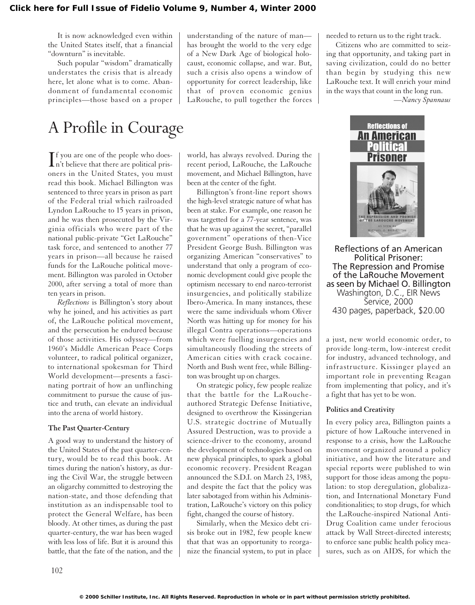It is now acknowledged even within the United States itself, that a financial "downturn" is inevitable.

Such popular "wisdom" dramatically understates the crisis that is already here, let alone what is to come. Abandonment of fundamental economic principles—those based on a proper

# A Profile in Courage

 $\prod$  f you are one of the people who does-<br>
n't believe that there are political prisn't believe that there are political prisoners in the United States, you must read this book. Michael Billington was sentenced to three years in prison as part of the Federal trial which railroaded Lyndon LaRouche to 15 years in prison, and he was then prosecuted by the Virginia officials who were part of the national public-private "Get LaRouche" task force, and sentenced to another 77 years in prison—all because he raised funds for the LaRouche political movement. Billington was paroled in October 2000, after serving a total of more than ten years in prison.

*Reflections* is Billington's story about why he joined, and his activities as part of, the LaRouche political movement, and the persecution he endured because of those activities. His odyssey—from 1960's Middle American Peace Corps volunteer, to radical political organizer, to international spokesman for Third World development—presents a fascinating portrait of how an unflinching commitment to pursue the cause of justice and truth, can elevate an individual into the arena of world history.

### **The Past Quarter-Century**

A good way to understand the history of the United States of the past quarter-century, would be to read this book. At times during the nation's history, as during the Civil War, the struggle between an oligarchy committed to destroying the nation-state, and those defending that institution as an indispensable tool to protect the General Welfare, has been bloody. At other times, as during the past quarter-century, the war has been waged with less loss of life. But it is around this battle, that the fate of the nation, and the

understanding of the nature of man has brought the world to the very edge of a New Dark Age of biological holocaust, economic collapse, and war. But, such a crisis also opens a window of opportunity for correct leadership, like that of proven economic genius LaRouche, to pull together the forces

world, has always revolved. During the recent period, LaRouche, the LaRouche movement, and Michael Billington, have been at the center of the fight.

Billington's front-line report shows the high-level strategic nature of what has been at stake. For example, one reason he was targetted for a 77-year sentence, was that he was up against the secret, "parallel government" operations of then-Vice President George Bush. Billington was organizing American "conservatives" to understand that only a program of economic development could give people the optimism necessary to end narco-terrorist insurgencies, and politically stabilize Ibero-America. In many instances, these were the same individuals whom Oliver North was hitting up for money for his illegal Contra operations—operations which were fuelling insurgencies and simultaneously flooding the streets of American cities with crack cocaine. North and Bush went free, while Billington was brought up on charges.

On strategic policy, few people realize that the battle for the LaRoucheauthored Strategic Defense Initiative, designed to overthrow the Kissingerian U.S. strategic doctrine of Mutually Assured Destruction, was to provide a science-driver to the economy, around the development of technologies based on new physical principles, to spark a global economic recovery. President Reagan announced the S.D.I. on March 23, 1983, and despite the fact that the policy was later sabotaged from within his Administration, LaRouche's victory on this policy fight, changed the course of history.

Similarly, when the Mexico debt crisis broke out in 1982, few people knew that that was an opportunity to reorganize the financial system, to put in place needed to return us to the right track.

Citizens who are committed to seizing that opportunity, and taking part in saving civilization, could do no better than begin by studying this new LaRouche text. It will enrich your mind in the ways that count in the long run.

*—Nancy Spannaus*



Reflections of an American Political Prisoner: The Repression and Promise of the LaRouche Movement as seen by Michael O. Billington Washington, D.C., EIR News Service, 2000 430 pages, paperback, \$20.00

a just, new world economic order, to provide long-term, low-interest credit for industry, advanced technology, and infrastructure. Kissinger played an important role in preventing Reagan from implementing that policy, and it's a fight that has yet to be won.

### **Politics and Creativity**

In every policy area, Billington paints a picture of how LaRouche intervened in response to a crisis, how the LaRouche movement organized around a policy initiative, and how the literature and special reports were published to win support for those ideas among the population: to stop deregulation, globalization, and International Monetary Fund conditionalities; to stop drugs, for which the LaRouche-inspired National Anti-Drug Coalition came under ferocious attack by Wall Street-directed interests; to enforce sane public health policy measures, such as on AIDS, for which the